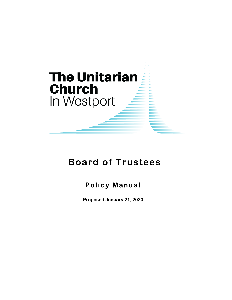

# **Board of Trustees**

# **Policy Manual**

**Proposed January 21, 2020**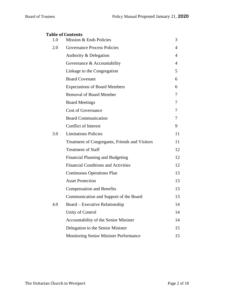|     | <b>Table of Contents</b>                       |    |
|-----|------------------------------------------------|----|
| 1.0 | Mission & Ends Policies                        | 3  |
| 2.0 | <b>Governance Process Policies</b>             | 4  |
|     | Authority & Delegation                         | 4  |
|     | Governance & Accountability                    | 4  |
|     | Linkage to the Congregation                    | 5  |
|     | <b>Board Covenant</b>                          | 6  |
|     | <b>Expectations of Board Members</b>           | 6  |
|     | <b>Removal of Board Member</b>                 | 7  |
|     | <b>Board Meetings</b>                          | 7  |
|     | <b>Cost of Governance</b>                      | 7  |
|     | <b>Board Communication</b>                     | 7  |
|     | <b>Conflict of Interest</b>                    | 9  |
| 3.0 | <b>Limitations Policies</b>                    | 11 |
|     | Treatment of Congregants, Friends and Visitors | 11 |
|     | <b>Treatment of Staff</b>                      | 12 |
|     | Financial Planning and Budgeting               | 12 |
|     | <b>Financial Conditions and Activities</b>     | 12 |
|     | <b>Continuous Operations Plan</b>              | 13 |
|     | <b>Asset Protection</b>                        | 13 |
|     | <b>Compensation and Benefits</b>               | 13 |
|     | Communication and Support of the Board         | 13 |
| 4.0 | Board – Executive Relationship                 | 14 |
|     | Unity of Control                               | 14 |
|     | Accountability of the Senior Minister          | 14 |
|     | Delegation to the Senior Minister              | 15 |
|     | <b>Monitoring Senior Minister Performance</b>  | 15 |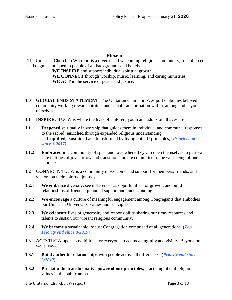#### **Mission**

The Unitarian Church in Westport is a diverse and welcoming religious community, free of creed and dogma, and open to people of all backgrounds and beliefs.

**WE INSPIRE** and support individual spiritual growth. **WE CONNECT** through worship, music, learning, and caring ministries. **WE ACT** in the service of peace and justice.

- **1.0 GLOBAL ENDS STATEMENT**: The Unitarian Church in Westport embodies beloved community working toward spiritual and social transformation within, among and beyond ourselves.
- **1.1 INSPIRE:**TUCW is where the lives of children, youth and adults of all ages are –
- **1.1.1 Deepened** spiritually in worship that guides them in individual and communal responses to the sacred; **enriched** through expanded religious understanding, and **uplifted, sustained** and transformed by living out UU principles; (*Priority end since 3/2017)*
- **1.1.2 Embraced** in a community of spirit and love where they can open themselves to pastoral care in times of joy, sorrow and transition, and are committed to the well-being of one another;
- **1.2 CONNECT:** TUCW is a community of welcome and support for members, friends, and visitors on their spiritual journeys.
- **1.2.1 We embrace** diversity, see differences as opportunities for growth, and build relationships of friendship mutual support and understanding.
- **1.2.2 We encourage** a culture of meaningful engagement among Congregants that embodies our Unitarian Universalist values and principles.
- **1.2.3 We celebrate** lives of generosity and responsibility sharing our time, resources and talents to sustain our vibrant religious community.
- **1.2.4 We become** a sustainable, robust Congregation comprised of all generations. (*Top Priority end since 9/2019)*
- **1.3 ACT:** TUCW opens possibilities for everyone to act meaningfully and visibly. Beyond our walls, we--.
- **1.3.1 Build authentic relationships** with people across all differences. (*Priority end since 3/2017)*
- **1.3.2 Proclaim the transformative power of our principles,** practicing liberal religious values in the public arena.

The Unitarian Church in Westport **Page 3 of 18**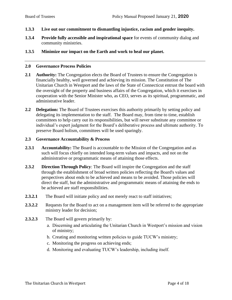- **1.3.3 Live out our commitment to dismantling injustice, racism and gender inequity.**
- **1.3.4 Provide fully accessible and inspirational space** for events of community dialog and community ministries.

#### **1.3.5 Minimize our impact on the Earth and work to heal our planet.**

#### **2.0 Governance Process Policies**

- **2.1 Authority:** The Congregation elects the Board of Trustees to ensure the Congregation is financially healthy, well governed and achieving its mission. The Constitution of The Unitarian Church in Westport and the laws of the State of Connecticut entrust the board with the oversight of the property and business affairs of the Congregation, which it exercises in cooperation with the Senior Minister who, as CEO, serves as its spiritual, programmatic, and administrative leader.
- **2.2 Delegation:** The Board of Trustees exercises this authority primarily by setting policy and delegating its implementation to the staff. The Board may, from time to time, establish committees to help carry out its responsibilities, but will never substitute any committee or individual's expert judgment for the Board's deliberative process and ultimate authority. To preserve Board holism, committees will be used sparingly.

#### **2.3 Governance Accountability & Process**

- **2.3.1 Accountability:** The Board is accountable to the Mission of the Congregation and as such will focus chiefly on intended long-term values and impacts, and not on the administrative or programmatic means of attaining those effects.
- **2.3.2 Direction Through Policy**: The Board will inspire the Congregation and the staff through the establishment of broad written policies reflecting the Board's values and perspectives about ends to be achieved and means to be avoided. Those policies will direct the staff, but the administrative and programmatic means of attaining the ends to be achieved are staff responsibilities.
- **2.3.2.1** The Board will initiate policy and not merely react to staff initiatives;
- **2.3.2.2** Requests for the Board to act on a management item will be referred to the appropriate ministry leader for decision;
- **2.3.2.3** The Board will govern primarily by:
	- a. Discerning and articulating the Unitarian Church in Westport's mission and vision of ministry;
	- b. Creating and monitoring written policies to guide TUCW's ministry;
	- c. Monitoring the progress on achieving ends;
	- d. Monitoring and evaluating TUCW's leadership, including itself.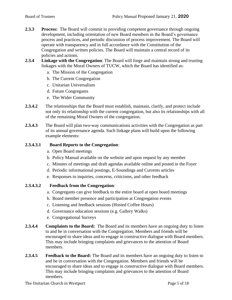- **2.3.3 Process:** The Board will commit to providing competent governance through ongoing development, including orientation of new Board members in the Board's governance process and practices, and periodic discussion of process improvement. The Board will operate with transparency and in full accordance with the Constitution of the Congregation and written policies. The Board will maintain a central record of its policies and actions.
- **2.3.4 Linkage with the Congregation**: The Board will forge and maintain strong and trusting linkages with the Moral Owners of TUCW, which the Board has identified as:
	- a. The Mission of the Congregation
	- b. The Current Congregation
	- c. Unitarian Universalism
	- d. Future Congregants
	- e. The Wider Community
- **2.3.4.2** The relationships that the Board must establish, maintain, clarify, and protect include not only its relationship with the current congregation, but also its relationships with all of the remaining Moral Owners of the congregation.
- **2.3.4.3** The Board will plan two-way communications activities with the Congregation as part of its annual governance agenda. Such linkage plans will build upon the following example elements:

#### **2.3.4.3.1 Board Reports to the Congregation**:

- a. Open Board meetings
- b. Policy Manual available on the website and upon request by any member
- c. Minutes of meetings and draft agendas available online and posted in the Foyer
- d. Periodic informational postings, E-Soundings and Currents articles
- e. Responses to inquiries, concerns, criticisms, and other feedback

#### **2.3.4.3.2 Feedback from the Congregation**:

- a. Congregants can give feedback to the entire board at open board meetings
- b. Board member presence and participation at Congregation events
- c. Listening and feedback sessions (Hosted Coffee Hours)
- d. Governance education sessions (e.g. Gallery Walks)
- e. Congregational Surveys
- **2.3.4.4 Complaints to the Board:** The Board and its members have an ongoing duty to listen to and be in conversation with the Congregation. Members and friends will be encouraged to share ideas and to engage in constructive dialogue with Board members. This may include bringing complaints and grievances to the attention of Board members.
- **2.3.4.5 Feedback to the Board:** The Board and its members have an ongoing duty to listen to and be in conversation with the Congregation. Members and friends will be encouraged to share ideas and to engage in constructive dialogue with Board members. This may include bringing complaints and grievances to the attention of Board members.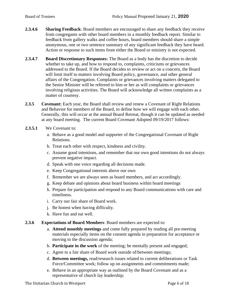- **2.3.4.6 Sharing Feedback**: Board members are encouraged to share any feedback they receive from congregants with other board members in a monthly feedback report. Similar to feedback from gallery walks and coffee hours, board members should share a simple anonymous, one or two sentence summary of any significant feedback they have heard. Action or response to such items from either the Board or ministry is not expected.
- **2.3.4.7 Board Discretionary Responses:** The Board as a body has the discretion to decide whether to take up, and how to respond to, complaints, criticisms or grievances addressed to the Board. If the Board decides to review or act on a concern, the Board will limit itself to matters involving Board policy, governance, and other general affairs of the Congregation. Complaints or grievances involving matters delegated to the Senior Minister will be referred to him or her as will complaints or grievances involving religious activities. The Board will acknowledge all written complaints as a matter of courtesy.
- **2.3.5 Covenant:** Each year, the Board shall review and renew a Covenant of Right Relations and Behavior for members of the Board, to define how we will engage with each other. Generally, this will occur at the annual Board Retreat, though it can be updated as needed at any board meeting. The current Board Covenant Adopted 09/19/2017 follows:
- **2.3.5.1** We Covenant to:
	- a. Behave as a good model and supporter of the Congregational Covenant of Right Relations.
	- b. Treat each other with respect, kindness and civility.
	- c. Assume good intentions, and remember that our own good intentions do not always prevent negative impact.
	- d. Speak with one voice regarding all decisions made.
	- e. Keep Congregational interests above our own
	- f. Remember we are always seen as board members, and act accordingly.
	- g. Keep debate and opinions about board business within board meetings
	- h. Prepare for participation and respond to any Board communications with care and timeliness.
	- i. Carry our fair share of Board work.
	- j. Be honest when having difficulty.
	- k. Have fun and eat well.
- **2.3.6 Expectations of Board Members**: Board members are expected to:
	- a. **Attend monthly meetings** and come fully prepared by reading all pre-meeting materials especially items on the consent agenda in preparation for acceptance or moving to the discussion agenda;
	- b. **Participate in the work** of the meeting; be mentally present and engaged;
	- c. Agree to a fair share of Board work outside of/between meetings;
	- d. **Between meetings,** read/research issues related to current deliberations or Task Force/Committee work; follow up on assignments and commitments made;
	- e. Behave in an appropriate way as outlined by the Board Covenant and as a representative of church lay leadership;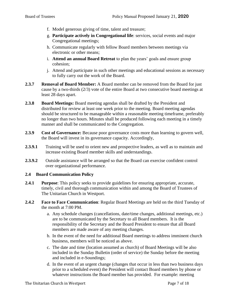- f. Model generous giving of time, talent and treasure;
- g. **Participate actively in Congregational life**: services, social events and major Congregational meetings;
- h. Communicate regularly with fellow Board members between meetings via electronic or other means;
- i. **Attend an annual Board Retreat** to plan the years' goals and ensure group cohesion;
- j. Attend and participate in such other meetings and educational sessions as necessary to fully carry out the work of the Board.
- **2.3.7 Removal of Board Member:** A Board member can be removed from the Board for just cause by a two-thirds (2/3) vote of the entire Board at two consecutive board meetings at least 28 days apart.
- **2.3.8 Board Meetings:** Board meeting agendas shall be drafted by the President and distributed for review at least one week prior to the meeting. Board meeting agendas should be structured to be manageable within a reasonable meeting timeframe, preferably no longer than two hours. Minutes shall be produced following each meeting in a timely manner and shall be communicated to the Congregation.
- **2.3.9 Cost of Governance:** Because poor governance costs more than learning to govern well, the Board will invest in its governance capacity. Accordingly,
- **2.3.9.1** Training will be used to orient new and prospective leaders, as well as to maintain and increase existing Board member skills and understandings.
- **2.3.9.2** Outside assistance will be arranged so that the Board can exercise confident control over organizational performance.

#### **2.4 Board Communication Policy**

- **2.4.1 Purpose**: This policy seeks to provide guidelines for ensuring appropriate, accurate, timely, civil and thorough communication within and among the Board of Trustees of The Unitarian Church in Westport.
- **2.4.2 Face to Face Communication**: Regular Board Meetings are held on the third Tuesday of the month at 7:00 PM.
	- a. Any schedule changes (cancellations, date/time changes, additional meetings, etc.) are to be communicated by the Secretary to all Board members. It is the responsibility of the Secretary and the Board President to ensure that all Board members are made aware of any meeting changes.
	- b. In the event of the need for additional Board meetings to address imminent church business, members will be noticed as above.
	- c. The date and time (location assumed as church) of Board Meetings will be also included in the Sunday Bulletin (order of service) the Sunday before the meeting and included in e-Soundings;
	- d. In the event of an urgent change (changes that occur in less than two business days prior to a scheduled event) the President will contact Board members by phone or whatever instructions the Board member has provided. For example: meeting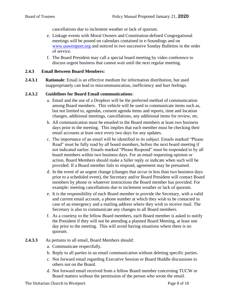cancellations due to inclement weather or lack of quorum.

- e. Linkage events with Moral Owners and Constitution-defined Congregational meetings will be posted on calendars contained in e-Soundings and on [www.uuwestport.org](http://www.uuwestport.org/) and noticed in two successive Sunday Bulletins in the order of service.
- f. The Board President may call a special board meeting by video conference to discuss urgent business that cannot wait until the next regular meeting.

#### **2.4.3 Email Between Board Members:**

**2.4.3.1 Rationale**: Email is an effective medium for information distribution, but used inappropriately can lead to miscommunication, inefficiency and hurt feelings.

#### **2.4.3.2 Guidelines for Board Email communications**:

- a. Email and the use of a Dropbox will be the preferred method of communication among Board members. This vehicle will be used to communicate items such as, but not limited to, agendas, consent agenda items and reports, time and location changes, additional meetings, cancellations, any additional items for review, etc.
- b. All communication must be emailed to the Board members at least two business days prior to the meeting. This implies that each member must be checking their email accounts at least once every two days for any updates.
- c. The importance of an email will be identified in its subject. Emails marked "Please Read" must be fully read by all board members, before the next board meeting if not indicated earlier. Emails marked "Please Respond" must be responded to by all board members within two business days. For an email requesting opinion or action, Board Members should make a fuller reply or indicate when such will be provided. If a Board member fails to respond, agreement may be presumed.
- d. In the event of an urgent change (changes that occur in less than two business days prior to a scheduled event), the Secretary and/or Board President will contact Board members by phone or whatever instructions the Board member has provided. For example: meeting cancellations due to inclement weather or lack of quorum.
- e. It is the responsibility of each Board member to provide the Secretary, with a valid and current email account, a phone number at which they wish to be contacted in case of an emergency and a mailing address where they wish to receive mail. The Secretary is also to communicate any changes to all Board members.
- f. As a courtesy to the fellow Board members, each Board member is asked to notify the President if they will not be attending a planned Board Meeting, at least one day prior to the meeting. This will avoid having situations where there is no quorum.
- **2.4.3.3** As pertains to all email, Board Members should:
	- a. Communicate respectfully.
	- b. Reply to all parties in an email communication without deleting specific parties.
	- c. Not forward email regarding Executive Session or Board Huddle discussions to others not on the Board.
	- d. Not forward email received from a fellow Board member concerning TUCW or Board matters without the permission of the person who wrote the email.

The Unitarian Church in Westport **Page 8 of 18** Page 8 of 18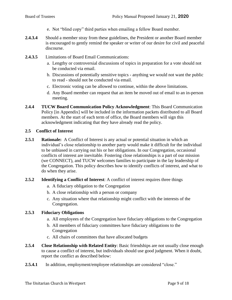- e. Not "blind copy" third parties when emailing a fellow Board member.
- **2.4.3.4** Should a member stray from these guidelines, the President or another Board member is encouraged to gently remind the speaker or writer of our desire for civil and peaceful discourse.
- **2.4.3.5** Limitations of Board Email Communications:
	- a. Lengthy or controversial discussions of topics in preparation for a vote should not be conducted via email.
	- b. Discussions of potentially sensitive topics anything we would not want the public to read - should not be conducted via email.
	- c. Electronic voting can be allowed to continue, within the above limitations.
	- d. Any Board member can request that an item be moved out of email to an in-person meeting.
- **2.4.4 TUCW Board Communication Policy Acknowledgment**: This Board Communication Policy [in Appendix] will be included in the information packets distributed to all Board members. At the start of each term of office, the Board members will sign this acknowledgment indicating that they have already read the policy.

#### **2.5 Conflict of Interest**

**2.5.1 Rationale:** A Conflict of Interest is any actual or potential situation in which an individual's close relationship to another party would make it difficult for the individual to be unbiased in carrying out his or her obligations. In our Congregation, occasional conflicts of interest are inevitable. Fostering close relationships is a part of our mission (we CONNECT), and TUCW welcomes families to participate in the lay leadership of the Congregation. This policy describes how to identify conflicts of interest, and what to do when they arise.

#### **2.5.2 Identifying a Conflict of Interest**: A conflict of interest requires three things

- a. A fiduciary obligation to the Congregation
- b. A close relationship with a person or company
- c. Any situation where that relationship might conflict with the interests of the Congregation.

#### **2.5.3 Fiduciary Obligations**

- a. All employees of the Congregation have fiduciary obligations to the Congregation
- b. All members of fiduciary committees have fiduciary obligations to the Congregation
- c. All chairs of committees that have allocated budgets
- **2.5.4 Close Relationship with Related Entity**: Basic friendships are not usually close enough to cause a conflict of interest, but individuals should use good judgment. When it doubt, report the conflict as described below:
- **2.5.4.1** In addition, employment/employee relationships are considered "close."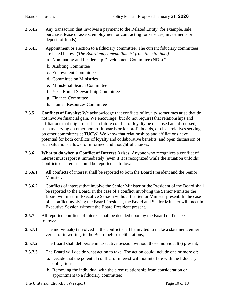**2.5.4.2** Any transaction that involves a payment to the Related Entity (for example, sale, purchase, lease of assets, employment or contracting for services, investments or deposit of funds)

2.5.4.3 Appointment or election to a fiduciary committee. The current fiduciary committees are listed below: (*The Board may amend this list from time to time.)*

- a. Nominating and Leadership Development Committee (NDLC)
- b. Auditing Committee
- c. Endowment Committee
- d. Committee on Ministries
- e. Ministerial Search Committee
- f. Year-Round Stewardship Committee
- g. Finance Committee
- h. Human Resources Committee
- **2.5.5 Conflicts of Loyalty:** We acknowledge that conflicts of loyalty sometimes arise that do not involve financial gain. We encourage (but do not require) that relationships and affiliations that might result in a future conflict of loyalty be disclosed and discussed, such as serving on other nonprofit boards or for-profit boards, or close relatives serving on other committees at TUCW. We know that relationships and affiliations have potential for both conflicts of loyalty and collaborative benefits, and open discussion of such situations allows for informed and thoughtful choices.
- **2.5.6 What to do when a Conflict of Interest Arises**: Anyone who recognizes a conflict of interest must report it immediately (even if it is recognized while the situation unfolds). Conflicts of interest should be reported as follows:
- **2.5.6.1** All conflicts of interest shall be reported to both the Board President and the Senior Minister;
- **2.5.6.2** Conflicts of interest that involve the Senior Minister or the President of the Board shall be reported to the Board. In the case of a conflict involving the Senior Minister the Board will meet in Executive Session without the Senior Minister present. In the case of a conflict involving the Board President, the Board and Senior Minister will meet in Executive Session without the Board President present.
- 2.5.7 All reported conflicts of interest shall be decided upon by the Board of Trustees, as follows:
- **2.5.7.1** The individual(s) involved in the conflict shall be invited to make a statement, either verbal or in writing, to the Board before deliberations;
- **2.5.7.2** The Board shall deliberate in Executive Session without those individual(s) present;
- **2.5.7.3** The Board will decide what action to take. The action could include one or more of:
	- a. Decide that the potential conflict of interest will not interfere with the fiduciary obligations;
	- b. Removing the individual with the close relationship from consideration or appointment to a fiduciary committee;

The Unitarian Church in Westport **Page 10 of 18** Page 10 of 18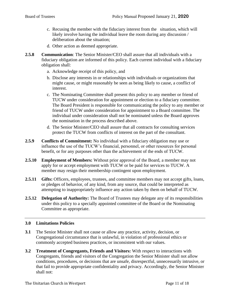- c. Recusing the member with the fiduciary interest from the situation, which will likely involve having the individual leave the room during any discussion / deliberation about the situation;
- d. Other action as deemed appropriate.
- **2.5.8 Communication**: The Senior Minister/CEO shall assure that all individuals with a fiduciary obligation are informed of this policy. Each current individual with a fiduciary obligation shall:
	- a. Acknowledge receipt of this policy, and
	- b. Disclose any interests in or relationships with individuals or organizations that might cause, or might reasonably be seen as being likely to cause, a conflict of interest.
	- c. The Nominating Committee shall present this policy to any member or friend of TUCW under consideration for appointment or election to a fiduciary committee. The Board President is responsible for communicating the policy to any member or friend of TUCW under consideration for appointment to a Board committee. The individual under consideration shall not be nominated unless the Board approves the nomination in the process described above.
	- d. The Senior Minister/CEO shall assure that all contracts for consulting services protect the TUCW from conflicts of interest on the part of the consultant.
- **2.5.9 Conflicts of Commitment:** No individual with a fiduciary obligation may use or influence the use of the TUCW's financial, personnel, or other resources for personal benefit, or for any purposes other than the achievement of the ends of TUCW.
- **2.5.10 Employment of Members:** Without prior approval of the Board, a member may not apply for or accept employment with TUCW or be paid for services to TUCW. A member may resign their membership contingent upon employment.
- **2.5.11 Gifts:** Officers, employees, trustees, and committee members may not accept gifts, loans, or pledges of behavior, of any kind, from any source, that could be interpreted as attempting to inappropriately influence any action taken by them on behalf of TUCW.
- **2.5.12 Delegation of Authority:** The Board of Trustees may delegate any of its responsibilities under this policy to a specially appointed committee of the Board or the Nominating Committee as appropriate.

#### **3.0 Limitations Policies**

- **3.1** The Senior Minister shall not cause or allow any practice, activity, decision, or Congregational circumstance that is unlawful, in violation of professional ethics or commonly accepted business practices, or inconsistent with our values.
- **3.2 Treatment of Congregants, Friends and Visitors:** With respect to interactions with Congregants, friends and visitors of the Congregation the Senior Minister shall not allow conditions, procedures, or decisions that are unsafe, disrespectful, unnecessarily intrusive, or that fail to provide appropriate confidentiality and privacy. Accordingly, the Senior Minister shall not: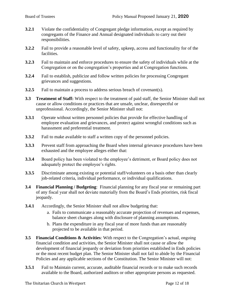- **3.2.1** Violate the confidentiality of Congregant pledge information, except as required by congregants of the Finance and Annual designated individuals to carry out their responsibilities.
- **3.2.2** Fail to provide a reasonable level of safety, upkeep, access and functionality for of the facilities.
- **3.2.3** Fail to maintain and enforce procedures to ensure the safety of individuals while at the Congregation or on the congregation's properties and at Congregation functions.
- **3.2.4** Fail to establish, publicize and follow written policies for processing Congregant grievances and suggestions.
- **3.2.5** Fail to maintain a process to address serious breach of covenant(s).
- **3.3 Treatment of Staff:** With respect to the treatment of paid staff, the Senior Minister shall not cause or allow conditions or practices that are unsafe, unclear, disrespectful or unprofessional. Accordingly, the Senior Minister shall not:
- **3.3.1** Operate without written personnel policies that provide for effective handling of employee evaluation and grievances, and protect against wrongful conditions such as harassment and preferential treatment.
- **3.3.2** Fail to make available to staff a written copy of the personnel policies.
- **3.3.3** Prevent staff from approaching the Board when internal grievance procedures have been exhausted and the employee alleges either that:
- **3.3.4** Board policy has been violated to the employee's detriment, or Board policy does not adequately protect the employee's rights.
- **3.3.5** Discriminate among existing or potential staff/volunteers on a basis other than clearly job-related criteria, individual performance, or individual qualifications.
- **3.4 Financial Planning / Budgeting**: Financial planning for any fiscal year or remaining part of any fiscal year shall not deviate materially from the Board's Ends priorities, risk fiscal jeopardy.
- **3.4.1** Accordingly, the Senior Minister shall not allow budgeting that:
	- a. Fails to communicate a reasonably accurate projection of revenues and expenses, balance sheet changes along with disclosure of planning assumptions.
	- b. Plans the expenditure in any fiscal year of more funds than are reasonably projected to be available in that period.
- **3.5 Financial Conditions & Activities**: With respect to the Congregation's actual, ongoing financial condition and activities, the Senior Minister shall not cause or allow the development of financial jeopardy or deviation from priorities established in Ends policies or the most recent budget plan. The Senior Minister shall not fail to abide by the Financial Policies and any applicable sections of the Constitution. The Senior Minister will not:
- **3.5.1** Fail to Maintain current, accurate, auditable financial records or to make such records available to the Board, authorized auditors or other appropriate persons as requested.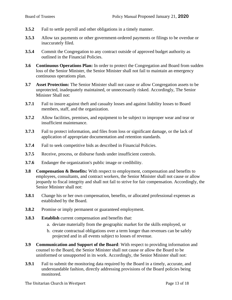- **3.5.2** Fail to settle payroll and other obligations in a timely manner.
- **3.5.3** Allow tax payments or other government-ordered payments or filings to be overdue or inaccurately filed.
- **3.5.4** Commit the Congregation to any contract outside of approved budget authority as outlined in the Financial Policies.
- **3.6 Continuous Operations Plan:** In order to protect the Congregation and Board from sudden loss of the Senior Minister, the Senior Minister shall not fail to maintain an emergency continuous operations plan.
- **3.7 Asset Protection:** The Senior Minister shall not cause or allow Congregation assets to be unprotected, inadequately maintained, or unnecessarily risked. Accordingly, The Senior Minister Shall not:
- **3.7.1** Fail to insure against theft and casualty losses and against liability losses to Board members, staff, and the organization.
- **3.7.2** Allow facilities, premises, and equipment to be subject to improper wear and tear or insufficient maintenance.
- **3.7.3** Fail to protect information, and files from loss or significant damage, or the lack of application of appropriate documentation and retention standards.
- **3.7.4** Fail to seek competitive bids as described in Financial Policies.
- **3.7.5** Receive, process, or disburse funds under insufficient controls.
- **3.7.6** Endanger the organization's public image or credibility.
- **3.8 Compensation & Benefits:** With respect to employment, compensation and benefits to employees, consultants, and contract workers, the Senior Minister shall not cause or allow jeopardy to fiscal integrity and shall not fail to strive for fair compensation. Accordingly, the Senior Minister shall not:
- **3.8.1** Change his or her own compensation, benefits, or allocated professional expenses as established by the Board.
- **3.8.2** Promise or imply permanent or guaranteed employment.
- **3.8.3 Establish** current compensation and benefits that:
	- a. deviate materially from the geographic market for the skills employed, or
	- b. create contractual obligations over a term longer than revenues can be safely projected and in all events subject to losses of revenue.
- **3.9 Communication and Support of the Board**: With respect to providing information and counsel to the Board, the Senior Minister shall not cause or allow the Board to be uninformed or unsupported in its work. Accordingly, the Senior Minister shall not:
- **3.9.1** Fail to submit the monitoring data required by the Board in a timely, accurate, and understandable fashion, directly addressing provisions of the Board policies being monitored.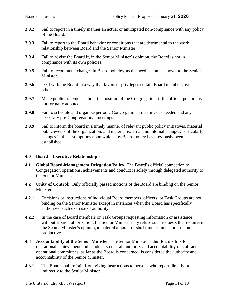- **3.9.2** Fail to report in a timely manner an actual or anticipated non-compliance with any policy of the Board.
- **3.9.3** Fail to report to the Board behavior or conditions that are detrimental to the work relationship between Board and the Senior Minister.
- **3.9.4** Fail to advise the Board if, in the Senior Minister's opinion, the Board is not in compliance with its own policies.
- **3.9.5** Fail to recommend changes in Board policies, as the need becomes known to the Senior Minister.
- **3.9.6** Deal with the Board in a way that favors or privileges certain Board members over others.
- **3.9.7** Make public statements about the position of the Congregation, if the official position is not formally adopted.
- **3.9.8** Fail to schedule and organize periodic Congregational meetings as needed and any necessary pre-Congregational meetings.
- **3.9.9** Fail to inform the board in a timely manner of relevant public policy initiatives, material public events of the organization, and material external and internal changes, particularly changes in the assumptions upon which any Board policy has previously been established.

#### **4.0 Board – Executive Relationship -**

- **4.1 Global Board-Management Delegation Policy**: The Board's official connection to Congregation operations, achievements and conduct is solely through delegated authority to the Senior Minister.
- **4.2 Unity of Control**: Only officially passed motions of the Board are binding on the Senior Minister.
- **4.2.1** Decisions or instructions of individual Board members, officers, or Task Groups are not binding on the Senior Minister except in instances when the Board has specifically authorized such exercise of authority.
- **4.2.2** In the case of Board members or Task Groups requesting information or assistance without Board authorization, the Senior Minister may refuse such requests that require, in the Senior Minister's opinion, a material amount of staff time or funds, or are nonproductive.
- **4.3 Accountability of the Senior Minister**: The Senior Minister is the Board's link to operational achievement and conduct, so that all authority and accountability of staff and operational committees, as far as the Board is concerned, is considered the authority and accountability of the Senior Minister.
- **4.3.1** The Board shall refrain from giving instructions to persons who report directly or indirectly to the Senior Minister.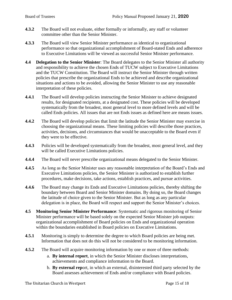- **4.3.2** The Board will not evaluate, either formally or informally, any staff or volunteer committee other than the Senior Minister.
- **4.3.3** The Board will view Senior Minister performance as identical to organizational performance so that organizational accomplishment of Board-stated Ends and adherence to Executive Limitations will be viewed as successful Senior Minister performance.
- **4.4 Delegation to the Senior Minister**: The Board delegates to the Senior Minister all authority and responsibility to achieve the chosen Ends of TUCW subject to Executive Limitations and the TUCW Constitution. The Board will instruct the Senior Minister through written policies that prescribe the organizational Ends to be achieved and describe organizational situations and actions to be avoided, allowing the Senior Minister to use any reasonable interpretation of these policies.
- **4.4.1** The Board will develop policies instructing the Senior Minister to achieve designated results, for designated recipients, at a designated cost. These policies will be developed systematically from the broadest, most general level to more defined levels and will be called Ends policies. All issues that are not Ends issues as defined here are means issues.
- **4.4.2** The Board will develop policies that limit the latitude the Senior Minister may exercise in choosing the organizational means. These limiting policies will describe those practices, activities, decisions, and circumstances that would be unacceptable to the Board even if they were to be effective.
- **4.4.3** Policies will be developed systematically from the broadest, most general level, and they will be called Executive Limitations policies.
- **4.4.4** The Board will never prescribe organizational means delegated to the Senior Minister.
- **4.4.5** As long as the Senior Minister uses any reasonable interpretation of the Board's Ends and Executive Limitations policies, the Senior Minister is authorized to establish further procedures, make decisions, take actions, establish practices, and pursue activities.
- **4.4.6** The Board may change its Ends and Executive Limitations policies, thereby shifting the boundary between Board and Senior Minister domains. By doing so, the Board changes the latitude of choice given to the Senior Minister. But as long as any particular delegation is in place, the Board will respect and support the Senior Minister's choices.
- **4.5 Monitoring Senior Minister Performance**: Systematic and rigorous monitoring of Senior Minister performance will be based solely on the expected Senior Minister job outputs: organizational accomplishment of Board policies on Ends and organizational operation within the boundaries established in Board policies on Executive Limitations.
- **4.5.1** Monitoring is simply to determine the degree to which Board policies are being met. Information that does not do this will not be considered to be monitoring information.
- **4.5.2** The Board will acquire monitoring information by one or more of three methods:
	- a. **By internal report**, in which the Senior Minister discloses interpretations, achievements and compliance information to the Board.
	- b. **By external rep**ort, in which an external, disinterested third party selected by the Board assesses achievement of Ends and/or compliance with Board policies.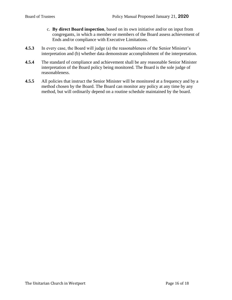- c. **By direct Board inspection**, based on its own initiative and/or on input from congregants, in which a member or members of the Board assess achievement of Ends and/or compliance with Executive Limitations.
- **4.5.3** In every case, the Board will judge (a) the reasonableness of the Senior Minister's interpretation and (b) whether data demonstrate accomplishment of the interpretation.
- **4.5.4** The standard of compliance and achievement shall be any reasonable Senior Minister interpretation of the Board policy being monitored. The Board is the sole judge of reasonableness.
- **4.5.5** All policies that instruct the Senior Minister will be monitored at a frequency and by a method chosen by the Board. The Board can monitor any policy at any time by any method, but will ordinarily depend on a routine schedule maintained by the board.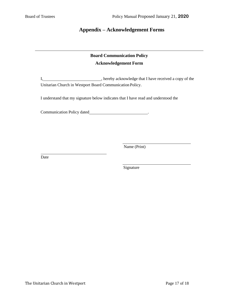## **Appendix – Acknowledgement Forms**

# **Board Communication Policy Acknowledgement Form**

I, hereby acknowledge that I have received a copy of the Unitarian Church in Westport Board Communication Policy.

I understand that my signature below indicates that I have read and understood the

Communication Policy dated **COMMUNICAL COMMUNICATE** 

Name (Print)

Date

Signature